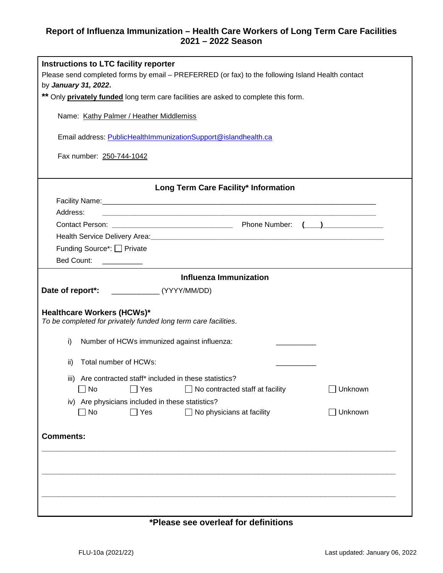## **Report of Influenza Immunization – Health Care Workers of Long Term Care Facilities 2021 – 2022 Season**

| Instructions to LTC facility reporter<br>Please send completed forms by email - PREFERRED (or fax) to the following Island Health contact<br>by January 31, 2022. |  |  |
|-------------------------------------------------------------------------------------------------------------------------------------------------------------------|--|--|
| ** Only privately funded long term care facilities are asked to complete this form.                                                                               |  |  |
| Name: Kathy Palmer / Heather Middlemiss                                                                                                                           |  |  |
| Email address: PublicHealthImmunizationSupport@islandhealth.ca                                                                                                    |  |  |
| Fax number: 250-744-1042                                                                                                                                          |  |  |
| Long Term Care Facility* Information                                                                                                                              |  |  |
|                                                                                                                                                                   |  |  |
| Address:                                                                                                                                                          |  |  |
|                                                                                                                                                                   |  |  |
|                                                                                                                                                                   |  |  |
| Funding Source*: □ Private                                                                                                                                        |  |  |
| Bed Count: ___________                                                                                                                                            |  |  |
| <b>Influenza Immunization</b>                                                                                                                                     |  |  |
|                                                                                                                                                                   |  |  |
| <b>Healthcare Workers (HCWs)*</b><br>To be completed for privately funded long term care facilities.<br>i)<br>Number of HCWs immunized against influenza:         |  |  |
|                                                                                                                                                                   |  |  |
| Total number of HCWs:<br>ii)                                                                                                                                      |  |  |
| iii) Are contracted staff* included in these statistics?<br>$\Box$ Yes<br>$\Box$ Unknown<br>$\Box$ No<br>$\Box$ No contracted staff at facility                   |  |  |
| iv) Are physicians included in these statistics?<br>$\Box$ Yes<br>$\square$ No<br>$\Box$ No physicians at facility<br>$\Box$ Unknown                              |  |  |
|                                                                                                                                                                   |  |  |
| <b>Comments:</b>                                                                                                                                                  |  |  |
|                                                                                                                                                                   |  |  |
|                                                                                                                                                                   |  |  |
|                                                                                                                                                                   |  |  |
|                                                                                                                                                                   |  |  |
|                                                                                                                                                                   |  |  |

## **\*Please see overleaf for definitions**